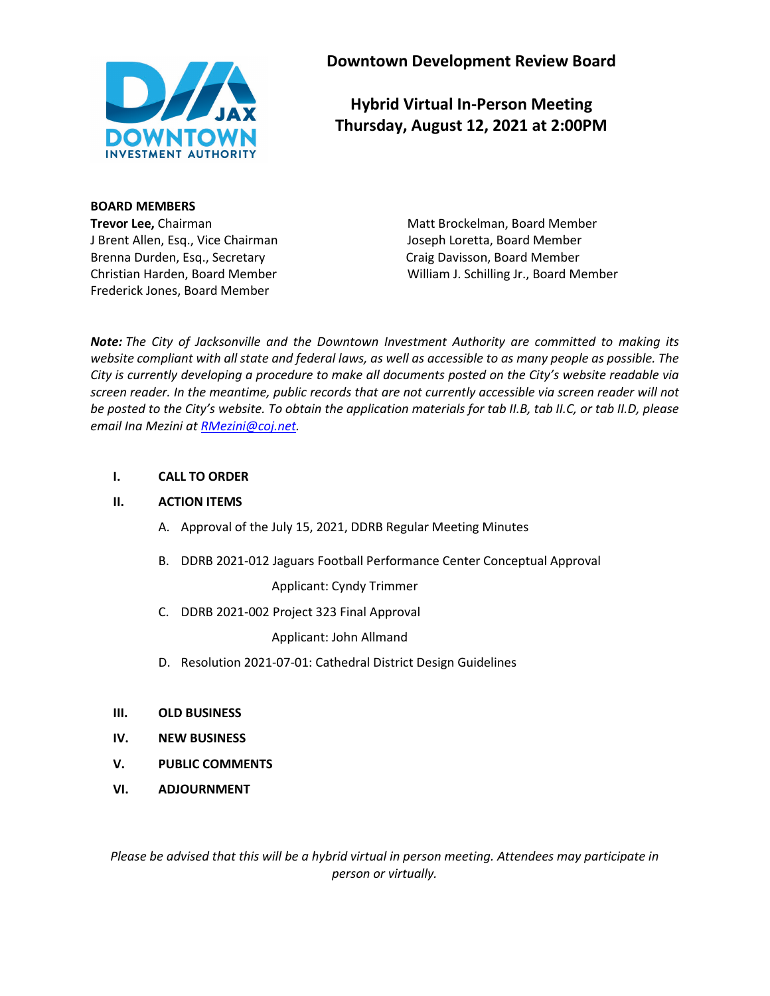

**Downtown Development Review Board**

**Hybrid Virtual In-Person Meeting Thursday, August 12, 2021 at 2:00PM**

**BOARD MEMBERS** J Brent Allen, Esq., Vice Chairman Joseph Loretta, Board Member Brenna Durden, Esq., Secretary Craig Davisson, Board Member Frederick Jones, Board Member

**Trevor Lee,** Chairman Matt Brockelman, Board Member Christian Harden, Board Member William J. Schilling Jr., Board Member

*Note: The City of Jacksonville and the Downtown Investment Authority are committed to making its website compliant with all state and federal laws, as well as accessible to as many people as possible. The City is currently developing a procedure to make all documents posted on the City's website readable via screen reader. In the meantime, public records that are not currently accessible via screen reader will not be posted to the City's website. To obtain the application materials for tab II.B, tab II.C, or tab II.D, please email Ina Mezini a[t RMezini@coj.net.](mailto:RMezini@coj.net)*

### **I. CALL TO ORDER**

#### **II. ACTION ITEMS**

- A. Approval of the July 15, 2021, DDRB Regular Meeting Minutes
- B. DDRB 2021-012 Jaguars Football Performance Center Conceptual Approval

Applicant: Cyndy Trimmer

C. DDRB 2021-002 Project 323 Final Approval

Applicant: John Allmand

- D. Resolution 2021-07-01: Cathedral District Design Guidelines
- **III. OLD BUSINESS**
- **IV. NEW BUSINESS**
- **V. PUBLIC COMMENTS**
- **VI. ADJOURNMENT**

*Please be advised that this will be a hybrid virtual in person meeting. Attendees may participate in person or virtually.*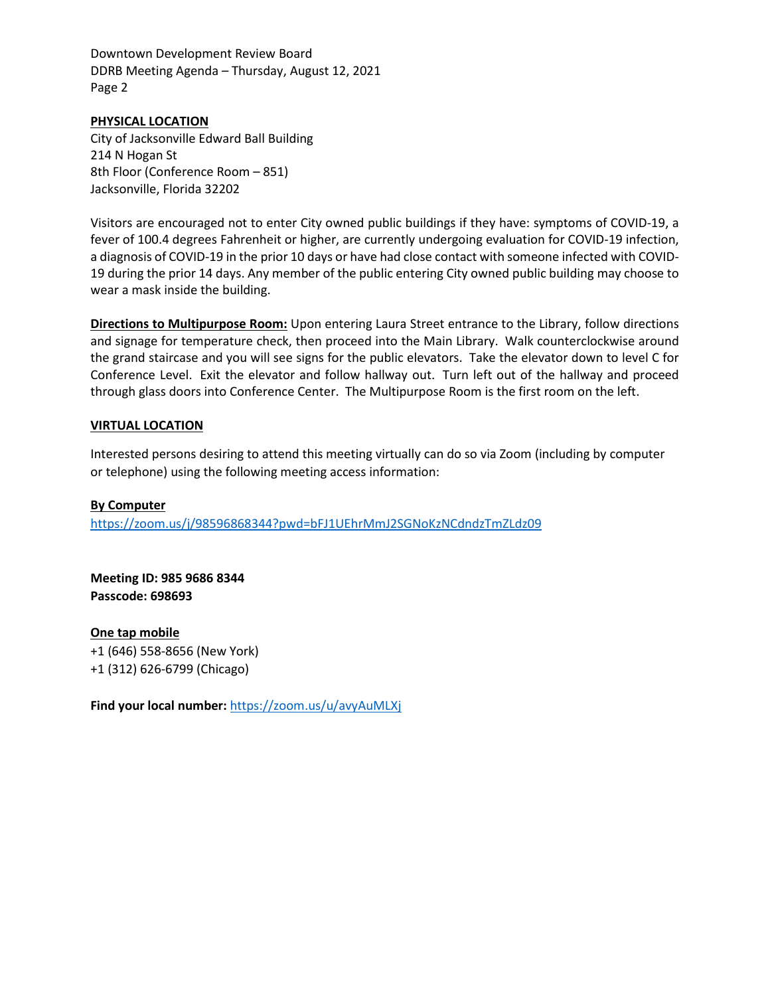Downtown Development Review Board DDRB Meeting Agenda – Thursday, August 12, 2021 Page 2

#### **PHYSICAL LOCATION**

City of Jacksonville Edward Ball Building 214 N Hogan St 8th Floor (Conference Room – 851) Jacksonville, Florida 32202

Visitors are encouraged not to enter City owned public buildings if they have: symptoms of COVID-19, a fever of 100.4 degrees Fahrenheit or higher, are currently undergoing evaluation for COVID-19 infection, a diagnosis of COVID-19 in the prior 10 days or have had close contact with someone infected with COVID-19 during the prior 14 days. Any member of the public entering City owned public building may choose to wear a mask inside the building.

**Directions to Multipurpose Room:** Upon entering Laura Street entrance to the Library, follow directions and signage for temperature check, then proceed into the Main Library. Walk counterclockwise around the grand staircase and you will see signs for the public elevators. Take the elevator down to level C for Conference Level. Exit the elevator and follow hallway out. Turn left out of the hallway and proceed through glass doors into Conference Center. The Multipurpose Room is the first room on the left.

#### **VIRTUAL LOCATION**

Interested persons desiring to attend this meeting virtually can do so via Zoom (including by computer or telephone) using the following meeting access information:

#### **By Computer**

<https://zoom.us/j/98596868344?pwd=bFJ1UEhrMmJ2SGNoKzNCdndzTmZLdz09>

**Meeting ID: 985 9686 8344 Passcode: 698693**

**One tap mobile** +1 (646) 558-8656 (New York) +1 (312) 626-6799 (Chicago)

**Find your local number:** <https://zoom.us/u/avyAuMLXj>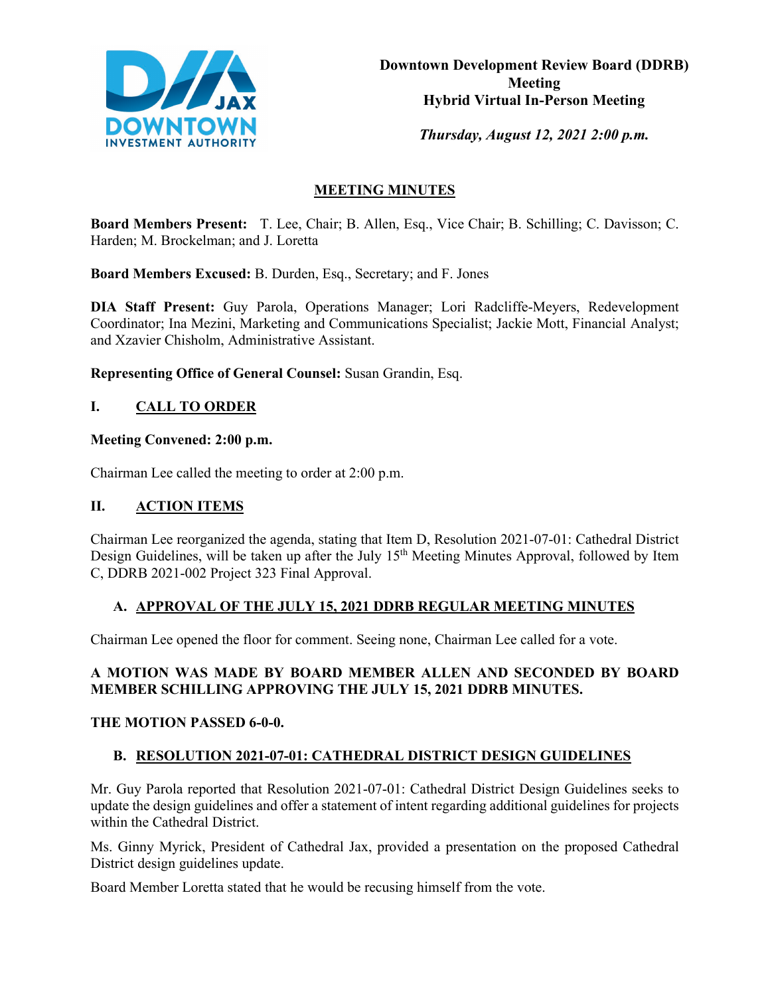

*Thursday, August 12, 2021 2:00 p.m.* 

# **MEETING MINUTES**

**Board Members Present:** T. Lee, Chair; B. Allen, Esq., Vice Chair; B. Schilling; C. Davisson; C. Harden; M. Brockelman; and J. Loretta

**Board Members Excused:** B. Durden, Esq., Secretary; and F. Jones

**DIA Staff Present:** Guy Parola, Operations Manager; Lori Radcliffe-Meyers, Redevelopment Coordinator; Ina Mezini, Marketing and Communications Specialist; Jackie Mott, Financial Analyst; and Xzavier Chisholm, Administrative Assistant.

**Representing Office of General Counsel:** Susan Grandin, Esq.

# **I. CALL TO ORDER**

# **Meeting Convened: 2:00 p.m.**

Chairman Lee called the meeting to order at 2:00 p.m.

# **II. ACTION ITEMS**

Chairman Lee reorganized the agenda, stating that Item D, Resolution 2021-07-01: Cathedral District Design Guidelines, will be taken up after the July 15<sup>th</sup> Meeting Minutes Approval, followed by Item C, DDRB 2021-002 Project 323 Final Approval.

# **A. APPROVAL OF THE JULY 15, 2021 DDRB REGULAR MEETING MINUTES**

Chairman Lee opened the floor for comment. Seeing none, Chairman Lee called for a vote.

# **A MOTION WAS MADE BY BOARD MEMBER ALLEN AND SECONDED BY BOARD MEMBER SCHILLING APPROVING THE JULY 15, 2021 DDRB MINUTES.**

# **THE MOTION PASSED 6-0-0.**

# **B. RESOLUTION 2021-07-01: CATHEDRAL DISTRICT DESIGN GUIDELINES**

Mr. Guy Parola reported that Resolution 2021-07-01: Cathedral District Design Guidelines seeks to update the design guidelines and offer a statement of intent regarding additional guidelines for projects within the Cathedral District.

Ms. Ginny Myrick, President of Cathedral Jax, provided a presentation on the proposed Cathedral District design guidelines update.

Board Member Loretta stated that he would be recusing himself from the vote.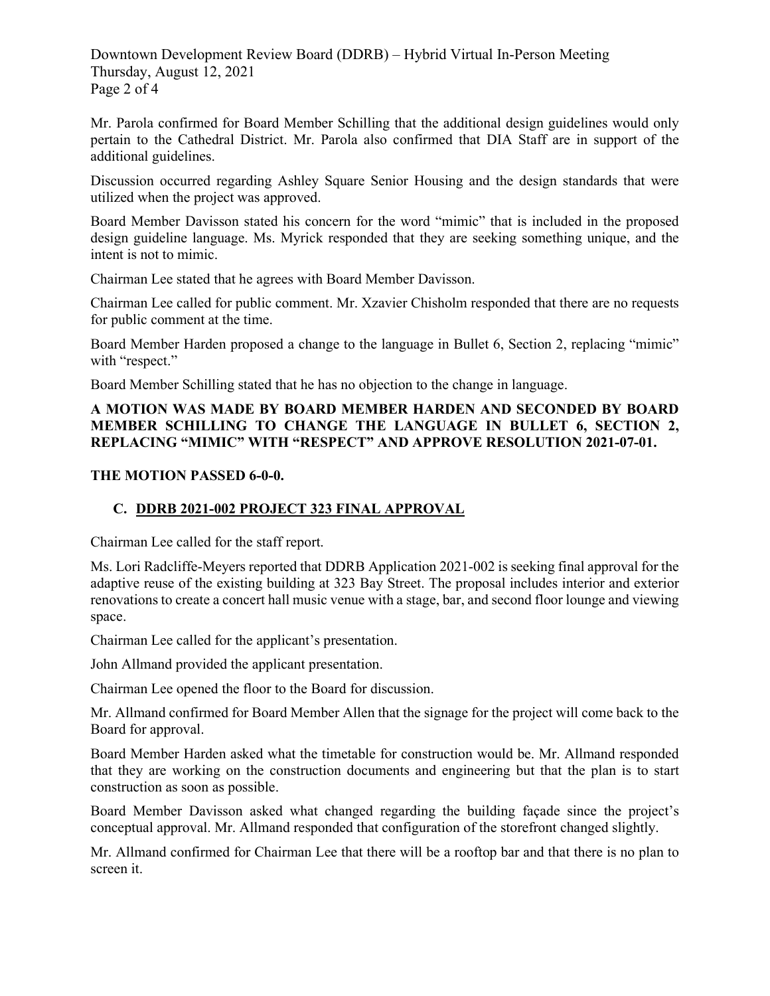Downtown Development Review Board (DDRB) – Hybrid Virtual In-Person Meeting Thursday, August 12, 2021 Page 2 of 4

Mr. Parola confirmed for Board Member Schilling that the additional design guidelines would only pertain to the Cathedral District. Mr. Parola also confirmed that DIA Staff are in support of the additional guidelines.

Discussion occurred regarding Ashley Square Senior Housing and the design standards that were utilized when the project was approved.

Board Member Davisson stated his concern for the word "mimic" that is included in the proposed design guideline language. Ms. Myrick responded that they are seeking something unique, and the intent is not to mimic.

Chairman Lee stated that he agrees with Board Member Davisson.

Chairman Lee called for public comment. Mr. Xzavier Chisholm responded that there are no requests for public comment at the time.

Board Member Harden proposed a change to the language in Bullet 6, Section 2, replacing "mimic" with "respect."

Board Member Schilling stated that he has no objection to the change in language.

# **A MOTION WAS MADE BY BOARD MEMBER HARDEN AND SECONDED BY BOARD MEMBER SCHILLING TO CHANGE THE LANGUAGE IN BULLET 6, SECTION 2, REPLACING "MIMIC" WITH "RESPECT" AND APPROVE RESOLUTION 2021-07-01.**

### **THE MOTION PASSED 6-0-0.**

# **C. DDRB 2021-002 PROJECT 323 FINAL APPROVAL**

Chairman Lee called for the staff report.

Ms. Lori Radcliffe-Meyers reported that DDRB Application 2021-002 is seeking final approval for the adaptive reuse of the existing building at 323 Bay Street. The proposal includes interior and exterior renovations to create a concert hall music venue with a stage, bar, and second floor lounge and viewing space.

Chairman Lee called for the applicant's presentation.

John Allmand provided the applicant presentation.

Chairman Lee opened the floor to the Board for discussion.

Mr. Allmand confirmed for Board Member Allen that the signage for the project will come back to the Board for approval.

Board Member Harden asked what the timetable for construction would be. Mr. Allmand responded that they are working on the construction documents and engineering but that the plan is to start construction as soon as possible.

Board Member Davisson asked what changed regarding the building façade since the project's conceptual approval. Mr. Allmand responded that configuration of the storefront changed slightly.

Mr. Allmand confirmed for Chairman Lee that there will be a rooftop bar and that there is no plan to screen it.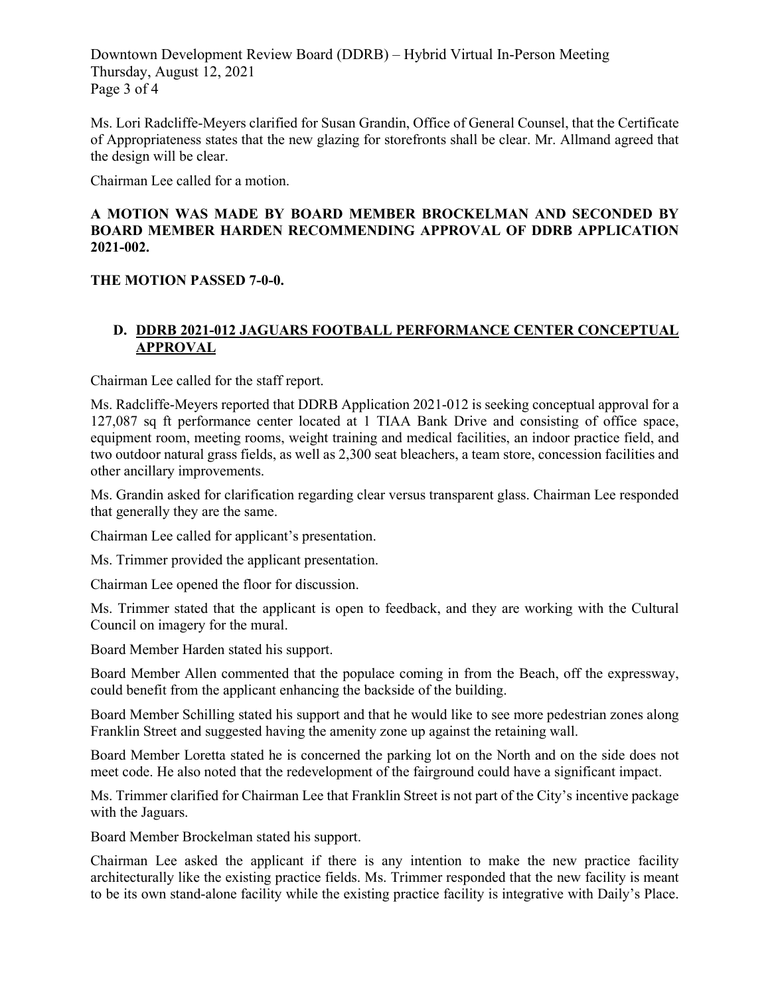Downtown Development Review Board (DDRB) – Hybrid Virtual In-Person Meeting Thursday, August 12, 2021 Page 3 of 4

Ms. Lori Radcliffe-Meyers clarified for Susan Grandin, Office of General Counsel, that the Certificate of Appropriateness states that the new glazing for storefronts shall be clear. Mr. Allmand agreed that the design will be clear.

Chairman Lee called for a motion.

### **A MOTION WAS MADE BY BOARD MEMBER BROCKELMAN AND SECONDED BY BOARD MEMBER HARDEN RECOMMENDING APPROVAL OF DDRB APPLICATION 2021-002.**

# **THE MOTION PASSED 7-0-0.**

# **D. DDRB 2021-012 JAGUARS FOOTBALL PERFORMANCE CENTER CONCEPTUAL APPROVAL**

Chairman Lee called for the staff report.

Ms. Radcliffe-Meyers reported that DDRB Application 2021-012 is seeking conceptual approval for a 127,087 sq ft performance center located at 1 TIAA Bank Drive and consisting of office space, equipment room, meeting rooms, weight training and medical facilities, an indoor practice field, and two outdoor natural grass fields, as well as 2,300 seat bleachers, a team store, concession facilities and other ancillary improvements.

Ms. Grandin asked for clarification regarding clear versus transparent glass. Chairman Lee responded that generally they are the same.

Chairman Lee called for applicant's presentation.

Ms. Trimmer provided the applicant presentation.

Chairman Lee opened the floor for discussion.

Ms. Trimmer stated that the applicant is open to feedback, and they are working with the Cultural Council on imagery for the mural.

Board Member Harden stated his support.

Board Member Allen commented that the populace coming in from the Beach, off the expressway, could benefit from the applicant enhancing the backside of the building.

Board Member Schilling stated his support and that he would like to see more pedestrian zones along Franklin Street and suggested having the amenity zone up against the retaining wall.

Board Member Loretta stated he is concerned the parking lot on the North and on the side does not meet code. He also noted that the redevelopment of the fairground could have a significant impact.

Ms. Trimmer clarified for Chairman Lee that Franklin Street is not part of the City's incentive package with the Jaguars.

Board Member Brockelman stated his support.

Chairman Lee asked the applicant if there is any intention to make the new practice facility architecturally like the existing practice fields. Ms. Trimmer responded that the new facility is meant to be its own stand-alone facility while the existing practice facility is integrative with Daily's Place.